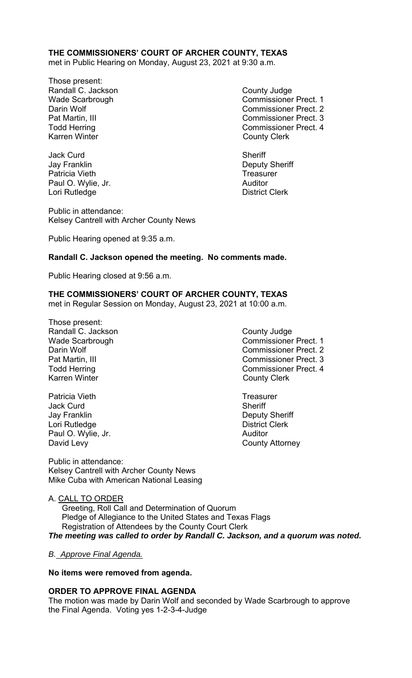# **THE COMMISSIONERS' COURT OF ARCHER COUNTY, TEXAS**

met in Public Hearing on Monday, August 23, 2021 at 9:30 a.m.

Those present: Randall C. Jackson **County Judge County Judge** Karren Winter **County Clerk** 

Jack Curd **Sheriff** Jay Franklin Deputy Sheriff Patricia Vieth **Treasurer** Treasurer Paul O. Wylie, Jr. **Auditor Paul O. Wylie, Jr. Auditor** Lori Rutledge **District Clerk** 

Public in attendance: Kelsey Cantrell with Archer County News

Public Hearing opened at 9:35 a.m.

Wade Scarbrough Commissioner Prect. 1 Darin Wolf Commissioner Prect. 2 Pat Martin, III Commissioner Prect. 3 Todd Herring Todd Exercise Commissioner Prect. 4

## **Randall C. Jackson opened the meeting. No comments made.**

Public Hearing closed at 9:56 a.m.

# **THE COMMISSIONERS' COURT OF ARCHER COUNTY, TEXAS**

met in Regular Session on Monday, August 23, 2021 at 10:00 a.m.

- Those present: Randall C. Jackson **County Judge** County Judge Karren Winter **County Clerk**
- Patricia Vieth **Treasurer** Treasurer Jack Curd **Sheriff** Jay Franklin **Deputy Sheriff** Lori Rutledge **District Clerk** Paul O. Wylie, Jr. **Auditor Paul O. Wylie, Jr. Auditor** David Levy **County Attorney**

Public in attendance: Kelsey Cantrell with Archer County News Mike Cuba with American National Leasing

- Wade Scarbrough Commissioner Prect. 1 Darin Wolf **Commissioner Prect.** 2 Pat Martin, III Commissioner Prect. 3 Todd Herring **Commissioner Prect.** 4
	-

A. CALL TO ORDER

 Greeting, Roll Call and Determination of Quorum Pledge of Allegiance to the United States and Texas Flags Registration of Attendees by the County Court Clerk *The meeting was called to order by Randall C. Jackson, and a quorum was noted.* 

#### *B. Approve Final Agenda.*

#### **No items were removed from agenda.**

#### **ORDER TO APPROVE FINAL AGENDA**

The motion was made by Darin Wolf and seconded by Wade Scarbrough to approve the Final Agenda. Voting yes 1-2-3-4-Judge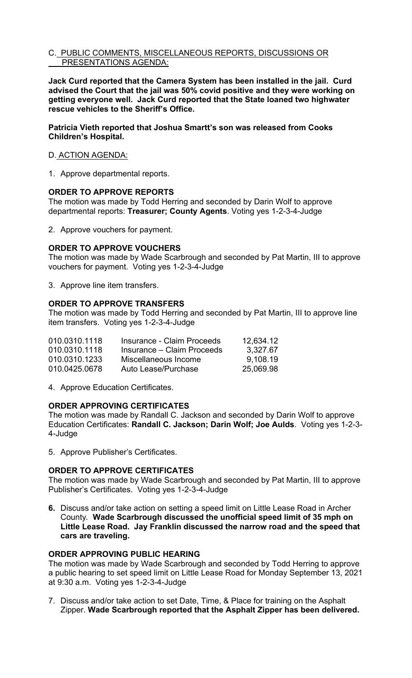## C. PUBLIC COMMENTS, MISCELLANEOUS REPORTS, DISCUSSIONS OR PRESENTATIONS AGENDA:

**Jack Curd reported that the Camera System has been installed in the jail. Curd advised the Court that the jail was 50% covid positive and they were working on getting everyone well. Jack Curd reported that the State loaned two highwater rescue vehicles to the Sheriff's Office.** 

**Patricia Vieth reported that Joshua Smartt's son was released from Cooks Children's Hospital.** 

## D. ACTION AGENDA:

1. Approve departmental reports.

## **ORDER TO APPROVE REPORTS**

The motion was made by Todd Herring and seconded by Darin Wolf to approve departmental reports: **Treasurer; County Agents**. Voting yes 1-2-3-4-Judge

2. Approve vouchers for payment.

## **ORDER TO APPROVE VOUCHERS**

The motion was made by Wade Scarbrough and seconded by Pat Martin, III to approve vouchers for payment. Voting yes 1-2-3-4-Judge

3. Approve line item transfers.

## **ORDER TO APPROVE TRANSFERS**

The motion was made by Todd Herring and seconded by Pat Martin, III to approve line item transfers. Voting yes 1-2-3-4-Judge

| 010.0310.1118 | Insurance - Claim Proceeds | 12,634.12 |
|---------------|----------------------------|-----------|
| 010.0310.1118 | Insurance – Claim Proceeds | 3.327.67  |
| 010.0310.1233 | Miscellaneous Income       | 9.108.19  |
| 010.0425.0678 | Auto Lease/Purchase        | 25,069.98 |

4. Approve Education Certificates.

#### **ORDER APPROVING CERTIFICATES**

The motion was made by Randall C. Jackson and seconded by Darin Wolf to approve Education Certificates: **Randall C. Jackson; Darin Wolf; Joe Aulds**. Voting yes 1-2-3- 4-Judge

5. Approve Publisher's Certificates.

#### **ORDER TO APPROVE CERTIFICATES**

The motion was made by Wade Scarbrough and seconded by Pat Martin, III to approve Publisher's Certificates. Voting yes 1-2-3-4-Judge

**6.** Discuss and/or take action on setting a speed limit on Little Lease Road in Archer County*.* **Wade Scarbrough discussed the unofficial speed limit of 35 mph on Little Lease Road. Jay Franklin discussed the narrow road and the speed that cars are traveling.** 

#### **ORDER APPROVING PUBLIC HEARING**

The motion was made by Wade Scarbrough and seconded by Todd Herring to approve a public hearing to set speed limit on Little Lease Road for Monday September 13, 2021 at 9:30 a.m. Voting yes 1-2-3-4-Judge

7. Discuss and/or take action to set Date, Time, & Place for training on the Asphalt Zipper. **Wade Scarbrough reported that the Asphalt Zipper has been delivered.**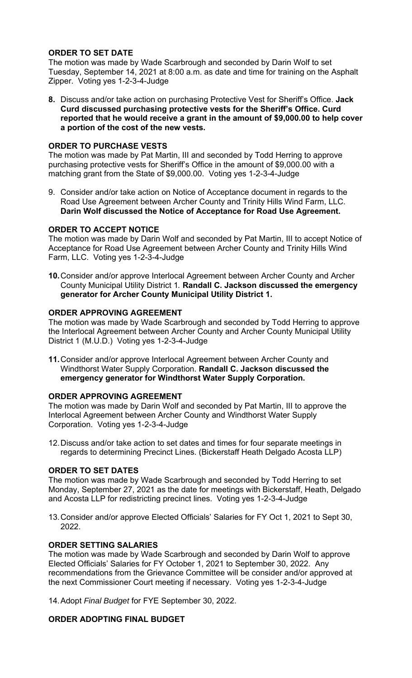# **ORDER TO SET DATE**

The motion was made by Wade Scarbrough and seconded by Darin Wolf to set Tuesday, September 14, 2021 at 8:00 a.m. as date and time for training on the Asphalt Zipper. Voting yes 1-2-3-4-Judge

**8.** Discuss and/or take action on purchasing Protective Vest for Sheriff's Office. **Jack Curd discussed purchasing protective vests for the Sheriff's Office. Curd reported that he would receive a grant in the amount of \$9,000.00 to help cover a portion of the cost of the new vests.** 

## **ORDER TO PURCHASE VESTS**

The motion was made by Pat Martin, III and seconded by Todd Herring to approve purchasing protective vests for Sheriff's Office in the amount of \$9,000.00 with a matching grant from the State of \$9,000.00. Voting yes 1-2-3-4-Judge

9. Consider and/or take action on Notice of Acceptance document in regards to the Road Use Agreement between Archer County and Trinity Hills Wind Farm, LLC. **Darin Wolf discussed the Notice of Acceptance for Road Use Agreement.**

#### **ORDER TO ACCEPT NOTICE**

The motion was made by Darin Wolf and seconded by Pat Martin, III to accept Notice of Acceptance for Road Use Agreement between Archer County and Trinity Hills Wind Farm, LLC. Voting yes 1-2-3-4-Judge

**10.** Consider and/or approve Interlocal Agreement between Archer County and Archer County Municipal Utility District 1*.* **Randall C. Jackson discussed the emergency generator for Archer County Municipal Utility District 1.** 

# **ORDER APPROVING AGREEMENT**

The motion was made by Wade Scarbrough and seconded by Todd Herring to approve the Interlocal Agreement between Archer County and Archer County Municipal Utility District 1 (M.U.D.) Voting yes 1-2-3-4-Judge

**11.** Consider and/or approve Interlocal Agreement between Archer County and Windthorst Water Supply Corporation. **Randall C. Jackson discussed the emergency generator for Windthorst Water Supply Corporation.** 

#### **ORDER APPROVING AGREEMENT**

The motion was made by Darin Wolf and seconded by Pat Martin, III to approve the Interlocal Agreement between Archer County and Windthorst Water Supply Corporation. Voting yes 1-2-3-4-Judge

12. Discuss and/or take action to set dates and times for four separate meetings in regards to determining Precinct Lines. (Bickerstaff Heath Delgado Acosta LLP)

#### **ORDER TO SET DATES**

The motion was made by Wade Scarbrough and seconded by Todd Herring to set Monday, September 27, 2021 as the date for meetings with Bickerstaff, Heath, Delgado and Acosta LLP for redistricting precinct lines. Voting yes 1-2-3-4-Judge

13. Consider and/or approve Elected Officials' Salaries for FY Oct 1, 2021 to Sept 30, 2022.

#### **ORDER SETTING SALARIES**

The motion was made by Wade Scarbrough and seconded by Darin Wolf to approve Elected Officials' Salaries for FY October 1, 2021 to September 30, 2022. Any recommendations from the Grievance Committee will be consider and/or approved at the next Commissioner Court meeting if necessary. Voting yes 1-2-3-4-Judge

14. Adopt *Final Budget* for FYE September 30, 2022.

# **ORDER ADOPTING FINAL BUDGET**